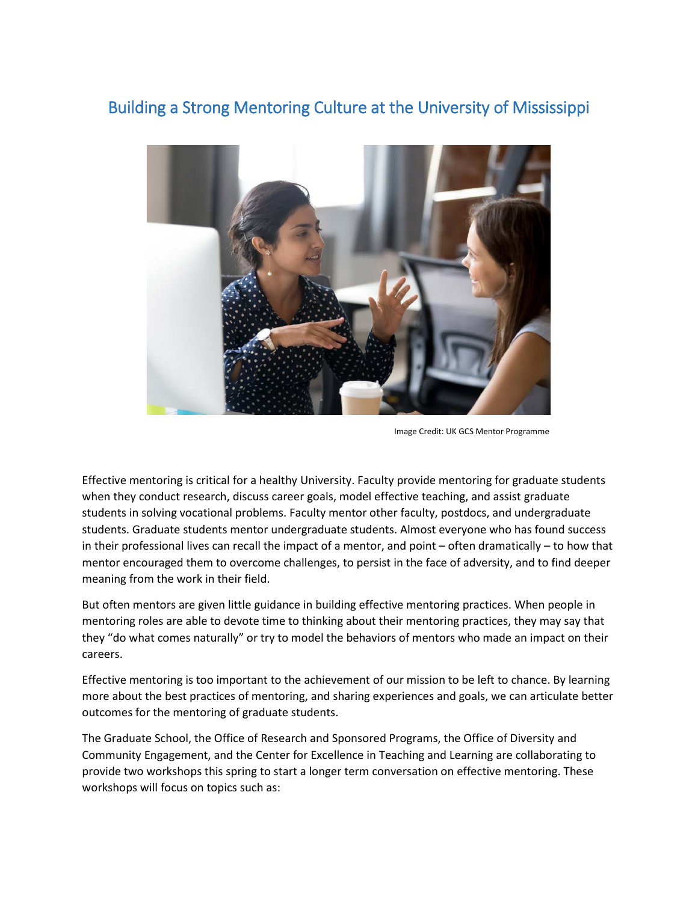# Building a Strong Mentoring Culture at the University of Mississippi



Image Credit: UK GCS Mentor Programme

Effective mentoring is critical for a healthy University. Faculty provide mentoring for graduate students when they conduct research, discuss career goals, model effective teaching, and assist graduate students in solving vocational problems. Faculty mentor other faculty, postdocs, and undergraduate students. Graduate students mentor undergraduate students. Almost everyone who has found success in their professional lives can recall the impact of a mentor, and point – often dramatically – to how that mentor encouraged them to overcome challenges, to persist in the face of adversity, and to find deeper meaning from the work in their field.

But often mentors are given little guidance in building effective mentoring practices. When people in mentoring roles are able to devote time to thinking about their mentoring practices, they may say that they "do what comes naturally" or try to model the behaviors of mentors who made an impact on their careers.

Effective mentoring is too important to the achievement of our mission to be left to chance. By learning more about the best practices of mentoring, and sharing experiences and goals, we can articulate better outcomes for the mentoring of graduate students.

The Graduate School, the Office of Research and Sponsored Programs, the Office of Diversity and Community Engagement, and the Center for Excellence in Teaching and Learning are collaborating to provide two workshops this spring to start a longer term conversation on effective mentoring. These workshops will focus on topics such as: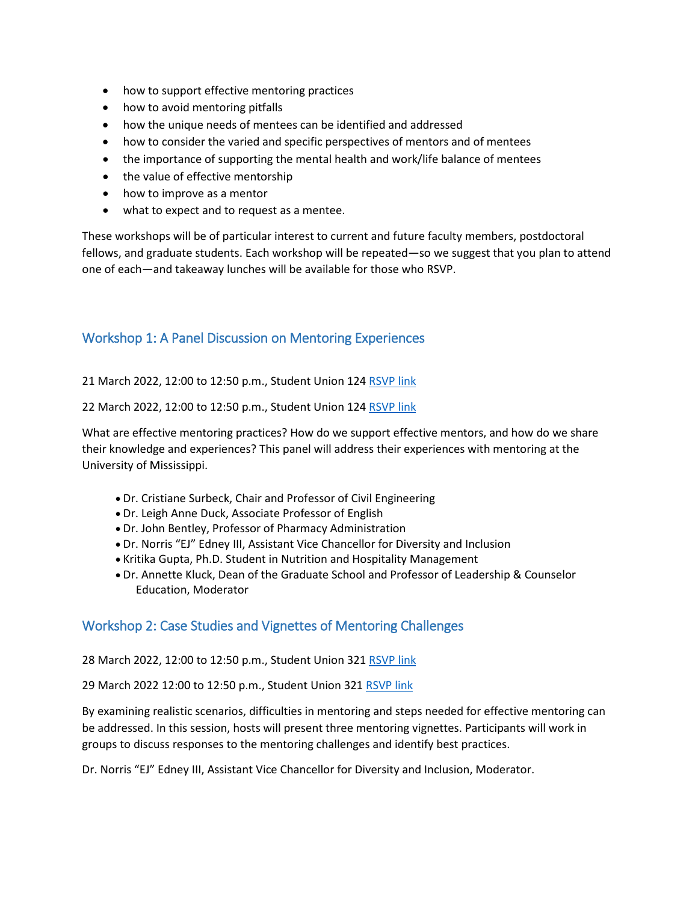- how to support effective mentoring practices
- how to avoid mentoring pitfalls
- how the unique needs of mentees can be identified and addressed
- how to consider the varied and specific perspectives of mentors and of mentees
- the importance of supporting the mental health and work/life balance of mentees
- the value of effective mentorship
- how to improve as a mentor
- what to expect and to request as a mentee.

These workshops will be of particular interest to current and future faculty members, postdoctoral fellows, and graduate students. Each workshop will be repeated—so we suggest that you plan to attend one of each—and takeaway lunches will be available for those who RSVP.

### Workshop 1: A Panel Discussion on Mentoring Experiences

21 March 2022, 12:00 to 12:50 p.m., Student Union 124 [RSVP link](https://docs.google.com/forms/d/e/1FAIpQLSd2HLl585StTcPlaQrrTdSgOj0MOBeCjLQg6mid7MryFEDmhw/viewform)

22 March 2022, 12:00 to 12:50 p.m., Student Union 124 [RSVP link](https://docs.google.com/forms/d/e/1FAIpQLSd2HLl585StTcPlaQrrTdSgOj0MOBeCjLQg6mid7MryFEDmhw/viewform)

What are effective mentoring practices? How do we support effective mentors, and how do we share their knowledge and experiences? This panel will address their experiences with mentoring at the University of Mississippi.

- Dr. Cristiane Surbeck, Chair and Professor of Civil Engineering
- Dr. Leigh Anne Duck, Associate Professor of English
- Dr. John Bentley, Professor of Pharmacy Administration
- Dr. Norris "EJ" Edney III, Assistant Vice Chancellor for Diversity and Inclusion
- Kritika Gupta, Ph.D. Student in Nutrition and Hospitality Management
- Dr. Annette Kluck, Dean of the Graduate School and Professor of Leadership & Counselor Education, Moderator

#### Workshop 2: Case Studies and Vignettes of Mentoring Challenges

#### 28 March 2022, 12:00 to 12:50 p.m., Student Union 321 [RSVP link](https://docs.google.com/forms/d/e/1FAIpQLScBOtrN8MFnJ8omvw8a7Be1KXCH-_8WyZ9gYoPCe3b-4tBW3A/viewform)

29 March 2022 12:00 to 12:50 p.m., Student Union 321 [RSVP link](https://docs.google.com/forms/d/e/1FAIpQLScBOtrN8MFnJ8omvw8a7Be1KXCH-_8WyZ9gYoPCe3b-4tBW3A/viewform)

By examining realistic scenarios, difficulties in mentoring and steps needed for effective mentoring can be addressed. In this session, hosts will present three mentoring vignettes. Participants will work in groups to discuss responses to the mentoring challenges and identify best practices.

Dr. Norris "EJ" Edney III, Assistant Vice Chancellor for Diversity and Inclusion, Moderator.